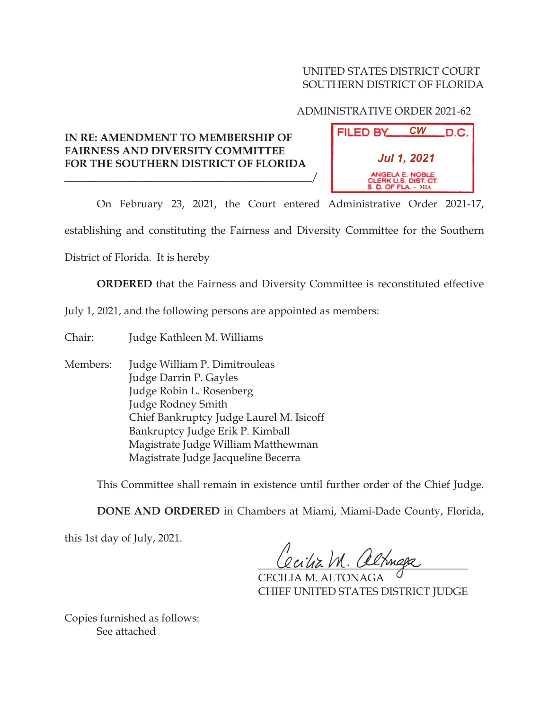## UNITED STATES DISTRICT COURT SOUTHERN DISTRICT OF FLORIDA

## ADMINISTRATIVE ORDER 2021-62

## **IN RE: AMENDMENT TO MEMBERSHIP OF FAIRNESS AND DIVERSITY COMMITTEE FOR THE SOUTHERN DISTRICT OF FLORIDA**

\_\_\_\_\_\_\_\_\_\_\_\_\_\_\_\_\_\_\_\_\_\_\_\_\_\_\_\_\_\_\_\_\_\_\_\_\_\_\_\_\_\_\_\_\_\_/

| FILED BY                                                         | <b>CW</b> | .D.C. |
|------------------------------------------------------------------|-----------|-------|
| <b>Jul 1, 2021</b>                                               |           |       |
| ANGELA E. NOBLE<br>CLERK U.S. DIST. CT.<br>$S. D. OF FLA. - MIA$ |           |       |

On February 23, 2021, the Court entered Administrative Order 2021-17,

establishing and constituting the Fairness and Diversity Committee for the Southern

District of Florida. It is hereby

**ORDERED** that the Fairness and Diversity Committee is reconstituted effective

July 1, 2021, and the following persons are appointed as members:

Chair: Judge Kathleen M. Williams

Members: Judge William P. Dimitrouleas Judge Darrin P. Gayles Judge Robin L. Rosenberg Judge Rodney Smith Chief Bankruptcy Judge Laurel M. Isicoff Bankruptcy Judge Erik P. Kimball Magistrate Judge William Matthewman Magistrate Judge Jacqueline Becerra

This Committee shall remain in existence until further order of the Chief Judge.

**DONE AND ORDERED** in Chambers at Miami, Miami-Dade County, Florida,

this 1st day of July, 2021.

Cocitiz M. altnega

CECILIA M. ALTONAGA CHIEF UNITED STATES DISTRICT JUDGE

Copies furnished as follows: See attached